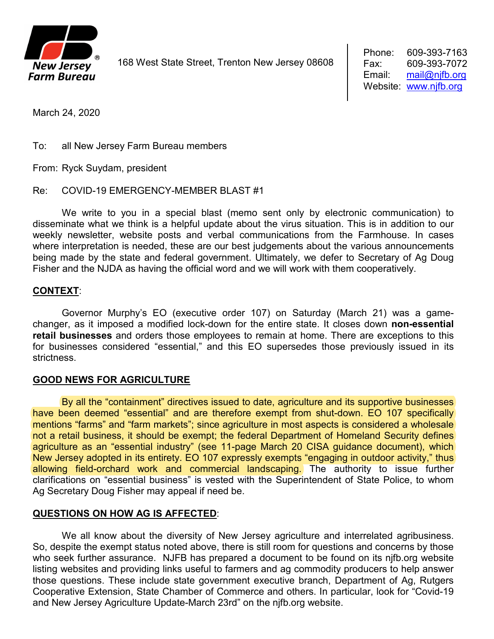

168 West State Street, Trenton New Jersey 08608

March 24, 2020

To: all New Jersey Farm Bureau members

From: Ryck Suydam, president

Re: COVID-19 EMERGENCY-MEMBER BLAST #1

We write to you in a special blast (memo sent only by electronic communication) to disseminate what we think is a helpful update about the virus situation. This is in addition to our weekly newsletter, website posts and verbal communications from the Farmhouse. In cases where interpretation is needed, these are our best judgements about the various announcements being made by the state and federal government. Ultimately, we defer to Secretary of Ag Doug Fisher and the NJDA as having the official word and we will work with them cooperatively.

## **CONTEXT**:

Governor Murphy's EO (executive order 107) on Saturday (March 21) was a gamechanger, as it imposed a modified lock-down for the entire state. It closes down **non-essential retail businesses** and orders those employees to remain at home. There are exceptions to this for businesses considered "essential," and this EO supersedes those previously issued in its strictness.

## **GOOD NEWS FOR AGRICULTURE**

By all the "containment" directives issued to date, agriculture and its supportive businesses have been deemed "essential" and are therefore exempt from shut-down. EO 107 specifically mentions "farms" and "farm markets"; since agriculture in most aspects is considered a wholesale not a retail business, it should be exempt; the federal Department of Homeland Security defines agriculture as an "essential industry" (see 11-page March 20 CISA guidance document), which New Jersey adopted in its entirety. EO 107 expressly exempts "engaging in outdoor activity," thus allowing field-orchard work and commercial landscaping. The authority to issue further clarifications on "essential business" is vested with the Superintendent of State Police, to whom Ag Secretary Doug Fisher may appeal if need be.

## **QUESTIONS ON HOW AG IS AFFECTED**:

We all know about the diversity of New Jersey agriculture and interrelated agribusiness. So, despite the exempt status noted above, there is still room for questions and concerns by those who seek further assurance. NJFB has prepared a document to be found on its njfb.org website listing websites and providing links useful to farmers and ag commodity producers to help answer those questions. These include state government executive branch, Department of Ag, Rutgers Cooperative Extension, State Chamber of Commerce and others. In particular, look for "Covid-19 and New Jersey Agriculture Update-March 23rd" on the njfb.org website.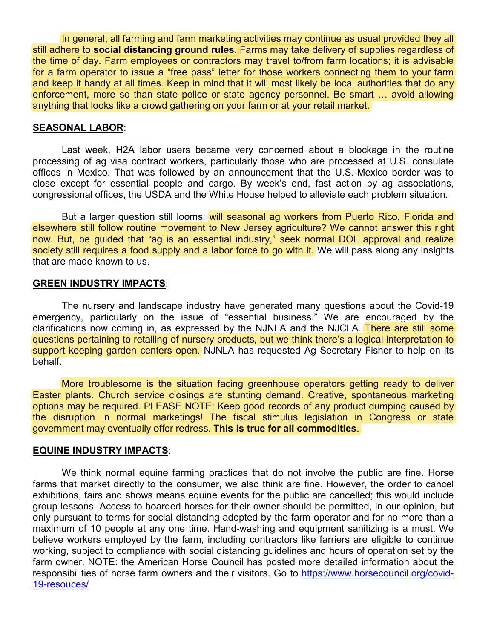In general, all farming and farm marketing activities may continue as usual provided they all still adhere to **social distancing ground rules**. Farms may take delivery of supplies regardless of the time of day. Farm employees or contractors may travel to/from farm locations; it is advisable for a farm operator to issue a "free pass" letter for those workers connecting them to your farm and keep it handy at all times. Keep in mind that it will most likely be local authorities that do any enforcement, more so than state police or state agency personnel. Be smart … avoid allowing anything that looks like a crowd gathering on your farm or at your retail market.

### **SEASONAL LABOR**:

Last week, H2A labor users became very concerned about a blockage in the routine processing of ag visa contract workers, particularly those who are processed at U.S. consulate offices in Mexico. That was followed by an announcement that the U.S.-Mexico border was to close except for essential people and cargo. By week's end, fast action by ag associations, congressional offices, the USDA and the White House helped to alleviate each problem situation.

But a larger question still looms: will seasonal ag workers from Puerto Rico, Florida and elsewhere still follow routine movement to New Jersey agriculture? We cannot answer this right now. But, be guided that "ag is an essential industry," seek normal DOL approval and realize society still requires a food supply and a labor force to go with it. We will pass along any insights that are made known to us.

#### **GREEN INDUSTRY IMPACTS**:

The nursery and landscape industry have generated many questions about the Covid-19 emergency, particularly on the issue of "essential business." We are encouraged by the clarifications now coming in, as expressed by the NJNLA and the NJCLA. There are still some questions pertaining to retailing of nursery products, but we think there's a logical interpretation to support keeping garden centers open. NJNLA has requested Ag Secretary Fisher to help on its behalf.

More troublesome is the situation facing greenhouse operators getting ready to deliver Easter plants. Church service closings are stunting demand. Creative, spontaneous marketing options may be required. PLEASE NOTE: Keep good records of any product dumping caused by the disruption in normal marketings! The fiscal stimulus legislation in Congress or state government may eventually offer redress. **This is true for all commodities**.

#### **EQUINE INDUSTRY IMPACTS**:

We think normal equine farming practices that do not involve the public are fine. Horse farms that market directly to the consumer, we also think are fine. However, the order to cancel exhibitions, fairs and shows means equine events for the public are cancelled; this would include group lessons. Access to boarded horses for their owner should be permitted, in our opinion, but only pursuant to terms for social distancing adopted by the farm operator and for no more than a maximum of 10 people at any one time. Hand-washing and equipment sanitizing is a must. We believe workers employed by the farm, including contractors like farriers are eligible to continue working, subject to compliance with social distancing guidelines and hours of operation set by the farm owner. NOTE: the American Horse Council has posted more detailed information about the responsibilities of horse farm owners and their visitors. Go to [https://www.horsecouncil.org/covid-](https://www.horsecouncil.org/covid-19-resouces/)[19-resouces/](https://www.horsecouncil.org/covid-19-resouces/)